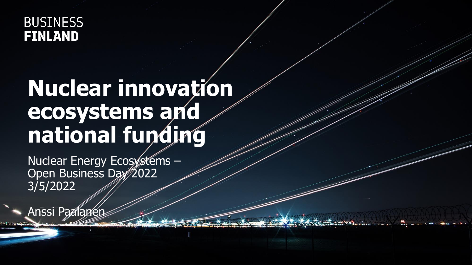#### **BUSINESS FINLAND**

## **Nuclear innovation** ecosystems and national funding

Nuclear Energy Ecosystems -Open Business Day 2022 3/5/2022

Anssi Paalanen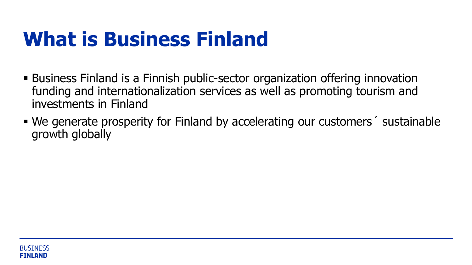### **What is Business Finland**

- **E** Business Finland is a Finnish public-sector organization offering innovation funding and internationalization services as well as promoting tourism and investments in Finland
- We generate prosperity for Finland by accelerating our customers' sustainable growth globally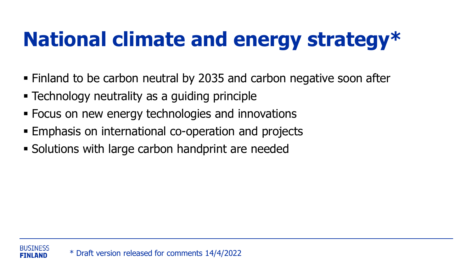# **National climate and energy strategy\***

- Finland to be carbon neutral by 2035 and carbon negative soon after
- **Example 1** Technology neutrality as a guiding principle
- Focus on new energy technologies and innovations
- Emphasis on international co-operation and projects
- Solutions with large carbon handprint are needed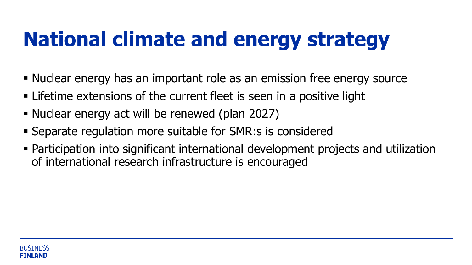## **National climate and energy strategy**

- Nuclear energy has an important role as an emission free energy source
- **EXTER** Lifetime extensions of the current fleet is seen in a positive light
- Nuclear energy act will be renewed (plan 2027)
- Separate regulation more suitable for SMR:s is considered
- Participation into significant international development projects and utilization of international research infrastructure is encouraged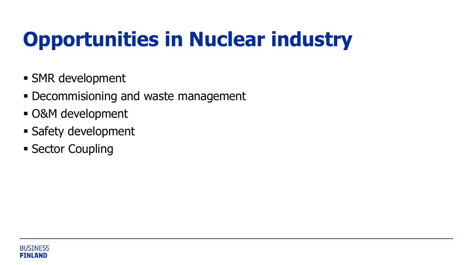# **Opportunities in Nuclear industry**

- **E** SMR development
- **Decommisioning and waste management**
- O&M development
- **Example 1 Safety development**
- **E** Sector Coupling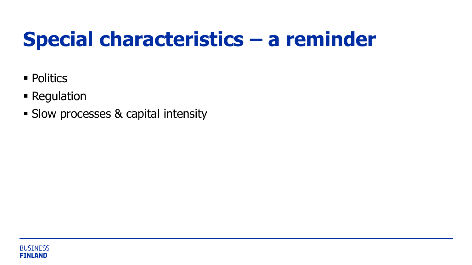### **Special characteristics – a reminder**

- Politics
- **Example 1** Regulation
- **Example 3 Slow processes & capital intensity**

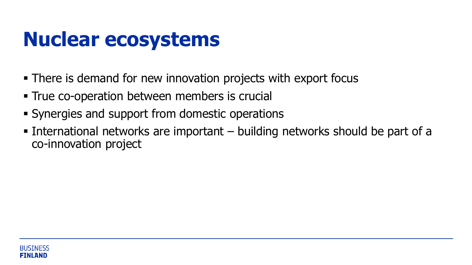### **Nuclear ecosystems**

- **There is demand for new innovation projects with export focus**
- **True co-operation between members is crucial**
- Synergies and support from domestic operations
- **Example 1** International networks are important  $-$  building networks should be part of a co-innovation project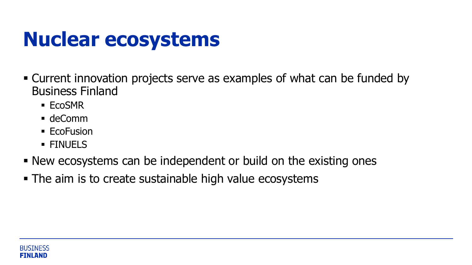### **Nuclear ecosystems**

- Current innovation projects serve as examples of what can be funded by Business Finland
	- EcoSMR
	- deComm
	- EcoFusion
	- **EINUELS**
- **New ecosystems can be independent or build on the existing ones**
- The aim is to create sustainable high value ecosystems

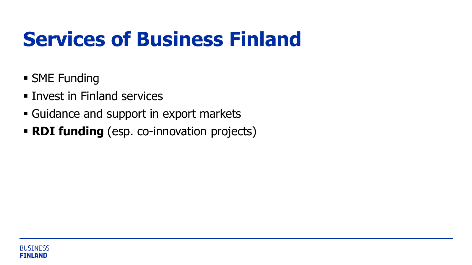### **Services of Business Finland**

- **E** SME Funding
- Invest in Finland services
- **Example 1 Guidance and support in export markets**
- **RDI funding** (esp. co-innovation projects)

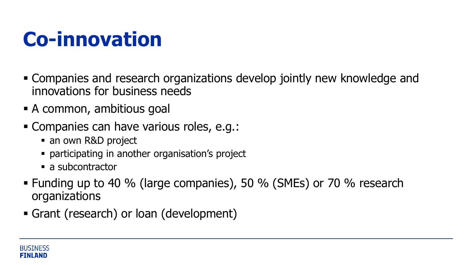### **Co-innovation**

- Companies and research organizations develop jointly new knowledge and innovations for business needs
- **E** A common, ambitious goal
- Companies can have various roles, e.g.:
	- an own R&D project
	- **participating in another organisation's project**
	- a subcontractor
- Funding up to 40 % (large companies), 50 % (SMEs) or 70 % research organizations
- Grant (research) or loan (development)

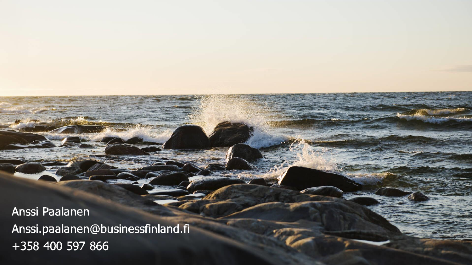Anssi Paalanen Anssi.paalanen@businessfinland.fi +358 400 597 866